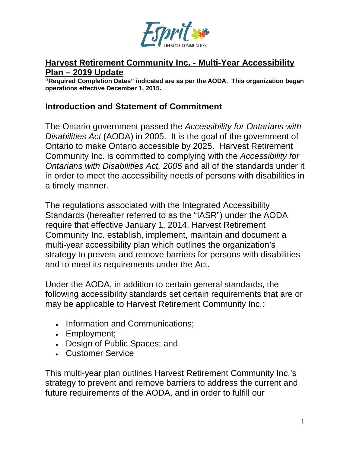

#### **Harvest Retirement Community Inc. - Multi-Year Accessibility Plan – 2019 Update**

**"Required Completion Dates" indicated are as per the AODA. This organization began operations effective December 1, 2015.**

#### **Introduction and Statement of Commitment**

The Ontario government passed the *Accessibility for Ontarians with Disabilities Act* (AODA) in 2005. It is the goal of the government of Ontario to make Ontario accessible by 2025. Harvest Retirement Community Inc. is committed to complying with the *Accessibility for Ontarians with Disabilities Act, 2005* and all of the standards under it in order to meet the accessibility needs of persons with disabilities in a timely manner.

The regulations associated with the Integrated Accessibility Standards (hereafter referred to as the "IASR") under the AODA require that effective January 1, 2014, Harvest Retirement Community Inc. establish, implement, maintain and document a multi-year accessibility plan which outlines the organization's strategy to prevent and remove barriers for persons with disabilities and to meet its requirements under the Act.

Under the AODA, in addition to certain general standards, the following accessibility standards set certain requirements that are or may be applicable to Harvest Retirement Community Inc.:

- Information and Communications;
- Employment;
- Design of Public Spaces; and
- Customer Service

This multi-year plan outlines Harvest Retirement Community Inc.'s strategy to prevent and remove barriers to address the current and future requirements of the AODA, and in order to fulfill our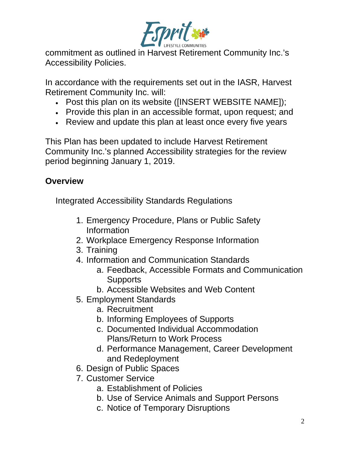

commitment as outlined in Harvest Retirement Community Inc.'s Accessibility Policies.

In accordance with the requirements set out in the IASR, Harvest Retirement Community Inc. will:

- Post this plan on its website ([INSERT WEBSITE NAME]);
- Provide this plan in an accessible format, upon request; and
- Review and update this plan at least once every five years

This Plan has been updated to include Harvest Retirement Community Inc.'s planned Accessibility strategies for the review period beginning January 1, 2019.

## **Overview**

Integrated Accessibility Standards Regulations

- 1. Emergency Procedure, Plans or Public Safety Information
- 2. Workplace Emergency Response Information
- 3. Training
- 4. Information and Communication Standards
	- a. Feedback, Accessible Formats and Communication **Supports**
	- b. Accessible Websites and Web Content
- 5. Employment Standards
	- a. Recruitment
	- b. Informing Employees of Supports
	- c. Documented Individual Accommodation Plans/Return to Work Process
	- d. Performance Management, Career Development and Redeployment
- 6. Design of Public Spaces
- 7. Customer Service
	- a. Establishment of Policies
	- b. Use of Service Animals and Support Persons
	- c. Notice of Temporary Disruptions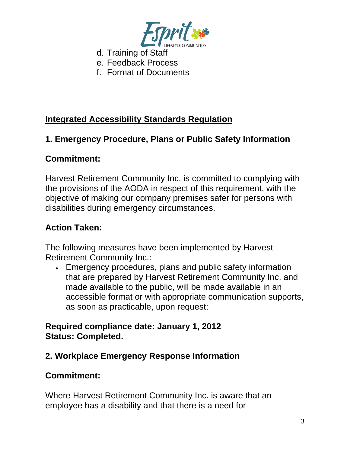

- d. Training of Staff
- e. Feedback Process
- f. Format of Documents

## **Integrated Accessibility Standards Regulation**

### **1. Emergency Procedure, Plans or Public Safety Information**

#### **Commitment:**

Harvest Retirement Community Inc. is committed to complying with the provisions of the AODA in respect of this requirement, with the objective of making our company premises safer for persons with disabilities during emergency circumstances.

#### **Action Taken:**

The following measures have been implemented by Harvest Retirement Community Inc.:

• Emergency procedures, plans and public safety information that are prepared by Harvest Retirement Community Inc. and made available to the public, will be made available in an accessible format or with appropriate communication supports, as soon as practicable, upon request;

#### **Required compliance date: January 1, 2012 Status: Completed.**

## **2. Workplace Emergency Response Information**

#### **Commitment:**

Where Harvest Retirement Community Inc. is aware that an employee has a disability and that there is a need for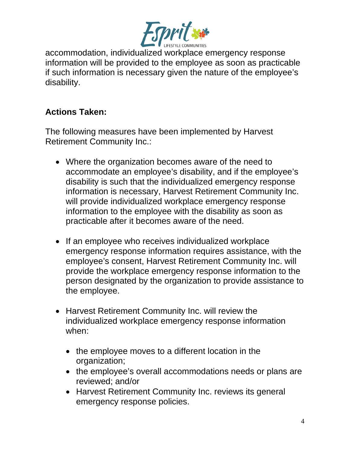

accommodation, individualized workplace emergency response information will be provided to the employee as soon as practicable if such information is necessary given the nature of the employee's disability.

## **Actions Taken:**

The following measures have been implemented by Harvest Retirement Community Inc.:

- Where the organization becomes aware of the need to accommodate an employee's disability, and if the employee's disability is such that the individualized emergency response information is necessary, Harvest Retirement Community Inc. will provide individualized workplace emergency response information to the employee with the disability as soon as practicable after it becomes aware of the need.
- If an employee who receives individualized workplace emergency response information requires assistance, with the employee's consent, Harvest Retirement Community Inc. will provide the workplace emergency response information to the person designated by the organization to provide assistance to the employee.
- Harvest Retirement Community Inc. will review the individualized workplace emergency response information when:
	- the employee moves to a different location in the organization;
	- the employee's overall accommodations needs or plans are reviewed; and/or
	- Harvest Retirement Community Inc. reviews its general emergency response policies.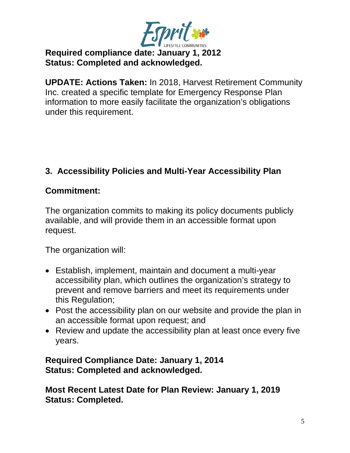

## **Required compliance date: January 1, 2012 Status: Completed and acknowledged.**

**UPDATE: Actions Taken:** In 2018, Harvest Retirement Community Inc. created a specific template for Emergency Response Plan information to more easily facilitate the organization's obligations under this requirement.

## **3. Accessibility Policies and Multi-Year Accessibility Plan**

## **Commitment:**

The organization commits to making its policy documents publicly available, and will provide them in an accessible format upon request.

The organization will:

- Establish, implement, maintain and document a multi-year accessibility plan, which outlines the organization's strategy to prevent and remove barriers and meet its requirements under this Regulation;
- Post the accessibility plan on our website and provide the plan in an accessible format upon request; and
- Review and update the accessibility plan at least once every five years.

#### **Required Compliance Date: January 1, 2014 Status: Completed and acknowledged.**

**Most Recent Latest Date for Plan Review: January 1, 2019 Status: Completed.**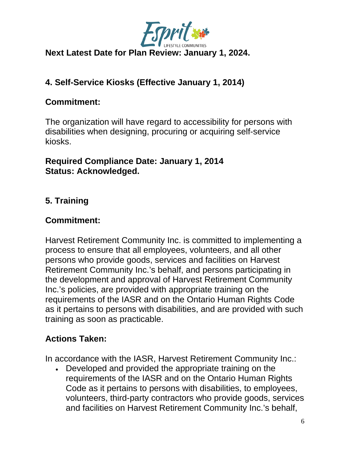

## **Next Latest Date for Plan Review: January 1, 2024.**

# **4. Self-Service Kiosks (Effective January 1, 2014)**

## **Commitment:**

The organization will have regard to accessibility for persons with disabilities when designing, procuring or acquiring self-service kiosks.

#### **Required Compliance Date: January 1, 2014 Status: Acknowledged.**

# **5. Training**

### **Commitment:**

Harvest Retirement Community Inc. is committed to implementing a process to ensure that all employees, volunteers, and all other persons who provide goods, services and facilities on Harvest Retirement Community Inc.'s behalf, and persons participating in the development and approval of Harvest Retirement Community Inc.'s policies, are provided with appropriate training on the requirements of the IASR and on the Ontario Human Rights Code as it pertains to persons with disabilities, and are provided with such training as soon as practicable.

## **Actions Taken:**

In accordance with the IASR, Harvest Retirement Community Inc.:

• Developed and provided the appropriate training on the requirements of the IASR and on the Ontario Human Rights Code as it pertains to persons with disabilities, to employees, volunteers, third-party contractors who provide goods, services and facilities on Harvest Retirement Community Inc.'s behalf,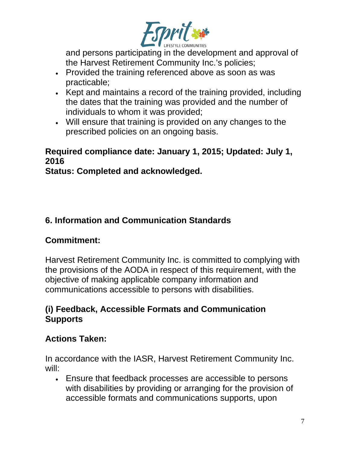

and persons participating in the development and approval of the Harvest Retirement Community Inc.'s policies;

- Provided the training referenced above as soon as was practicable;
- Kept and maintains a record of the training provided, including the dates that the training was provided and the number of individuals to whom it was provided;
- Will ensure that training is provided on any changes to the prescribed policies on an ongoing basis.

## **Required compliance date: January 1, 2015; Updated: July 1, 2016**

**Status: Completed and acknowledged.**

# **6. Information and Communication Standards**

# **Commitment:**

Harvest Retirement Community Inc. is committed to complying with the provisions of the AODA in respect of this requirement, with the objective of making applicable company information and communications accessible to persons with disabilities.

## **(i) Feedback, Accessible Formats and Communication Supports**

# **Actions Taken:**

In accordance with the IASR, Harvest Retirement Community Inc. will:

• Ensure that feedback processes are accessible to persons with disabilities by providing or arranging for the provision of accessible formats and communications supports, upon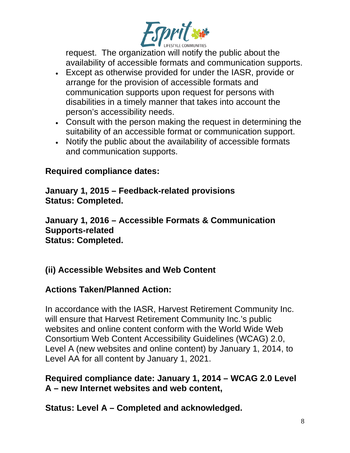

request. The organization will notify the public about the availability of accessible formats and communication supports.

- Except as otherwise provided for under the IASR, provide or arrange for the provision of accessible formats and communication supports upon request for persons with disabilities in a timely manner that takes into account the person's accessibility needs.
- Consult with the person making the request in determining the suitability of an accessible format or communication support.
- Notify the public about the availability of accessible formats and communication supports.

#### **Required compliance dates:**

**January 1, 2015 – Feedback-related provisions Status: Completed.**

**January 1, 2016 – Accessible Formats & Communication Supports-related Status: Completed.**

## **(ii) Accessible Websites and Web Content**

## **Actions Taken/Planned Action:**

In accordance with the IASR, Harvest Retirement Community Inc. will ensure that Harvest Retirement Community Inc.'s public websites and online content conform with the World Wide Web Consortium Web Content Accessibility Guidelines (WCAG) 2.0, Level A (new websites and online content) by January 1, 2014, to Level AA for all content by January 1, 2021.

**Required compliance date: January 1, 2014 – WCAG 2.0 Level A – new Internet websites and web content,** 

**Status: Level A – Completed and acknowledged.**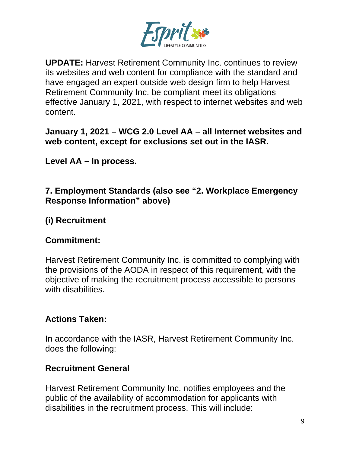

**UPDATE:** Harvest Retirement Community Inc. continues to review its websites and web content for compliance with the standard and have engaged an expert outside web design firm to help Harvest Retirement Community Inc. be compliant meet its obligations effective January 1, 2021, with respect to internet websites and web content.

#### **January 1, 2021 – WCG 2.0 Level AA – all Internet websites and web content, except for exclusions set out in the IASR.**

**Level AA – In process.**

#### **7. Employment Standards (also see "2. Workplace Emergency Response Information" above)**

# **(i) Recruitment**

## **Commitment:**

Harvest Retirement Community Inc. is committed to complying with the provisions of the AODA in respect of this requirement, with the objective of making the recruitment process accessible to persons with disabilities.

# **Actions Taken:**

In accordance with the IASR, Harvest Retirement Community Inc. does the following:

## **Recruitment General**

Harvest Retirement Community Inc. notifies employees and the public of the availability of accommodation for applicants with disabilities in the recruitment process. This will include: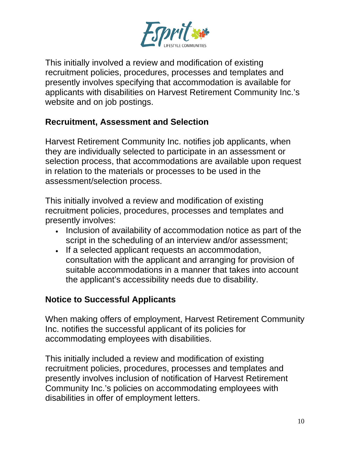

This initially involved a review and modification of existing recruitment policies, procedures, processes and templates and presently involves specifying that accommodation is available for applicants with disabilities on Harvest Retirement Community Inc.'s website and on job postings.

### **Recruitment, Assessment and Selection**

Harvest Retirement Community Inc. notifies job applicants, when they are individually selected to participate in an assessment or selection process, that accommodations are available upon request in relation to the materials or processes to be used in the assessment/selection process.

This initially involved a review and modification of existing recruitment policies, procedures, processes and templates and presently involves:

- Inclusion of availability of accommodation notice as part of the script in the scheduling of an interview and/or assessment;
- If a selected applicant requests an accommodation, consultation with the applicant and arranging for provision of suitable accommodations in a manner that takes into account the applicant's accessibility needs due to disability.

## **Notice to Successful Applicants**

When making offers of employment, Harvest Retirement Community Inc. notifies the successful applicant of its policies for accommodating employees with disabilities.

This initially included a review and modification of existing recruitment policies, procedures, processes and templates and presently involves inclusion of notification of Harvest Retirement Community Inc.'s policies on accommodating employees with disabilities in offer of employment letters.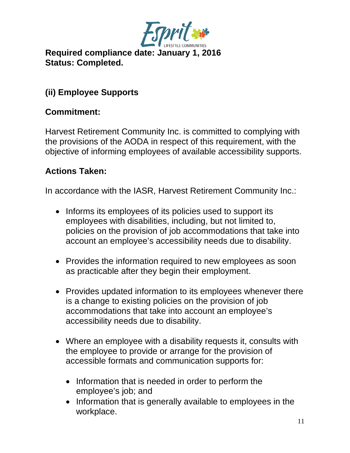

**Required compliance date: January 1, 2016 Status: Completed.**

# **(ii) Employee Supports**

#### **Commitment:**

Harvest Retirement Community Inc. is committed to complying with the provisions of the AODA in respect of this requirement, with the objective of informing employees of available accessibility supports.

#### **Actions Taken:**

In accordance with the IASR, Harvest Retirement Community Inc.:

- Informs its employees of its policies used to support its employees with disabilities, including, but not limited to, policies on the provision of job accommodations that take into account an employee's accessibility needs due to disability.
- Provides the information required to new employees as soon as practicable after they begin their employment.
- Provides updated information to its employees whenever there is a change to existing policies on the provision of job accommodations that take into account an employee's accessibility needs due to disability.
- Where an employee with a disability requests it, consults with the employee to provide or arrange for the provision of accessible formats and communication supports for:
	- Information that is needed in order to perform the employee's job; and
	- Information that is generally available to employees in the workplace.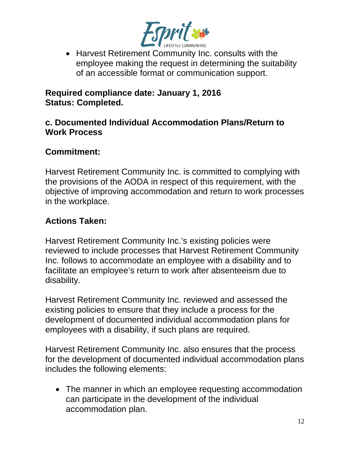

• Harvest Retirement Community Inc. consults with the employee making the request in determining the suitability of an accessible format or communication support.

#### **Required compliance date: January 1, 2016 Status: Completed.**

#### **c. Documented Individual Accommodation Plans/Return to Work Process**

### **Commitment:**

Harvest Retirement Community Inc. is committed to complying with the provisions of the AODA in respect of this requirement, with the objective of improving accommodation and return to work processes in the workplace.

### **Actions Taken:**

Harvest Retirement Community Inc.'s existing policies were reviewed to include processes that Harvest Retirement Community Inc. follows to accommodate an employee with a disability and to facilitate an employee's return to work after absenteeism due to disability.

Harvest Retirement Community Inc. reviewed and assessed the existing policies to ensure that they include a process for the development of documented individual accommodation plans for employees with a disability, if such plans are required.

Harvest Retirement Community Inc. also ensures that the process for the development of documented individual accommodation plans includes the following elements:

• The manner in which an employee requesting accommodation can participate in the development of the individual accommodation plan.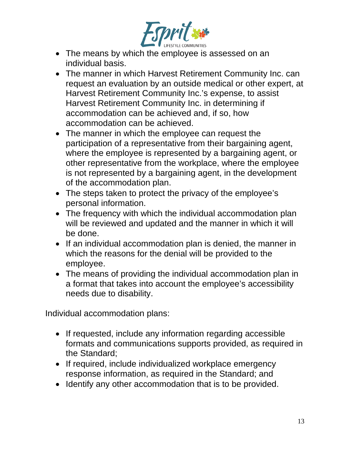

- The means by which the employee is assessed on an individual basis.
- The manner in which Harvest Retirement Community Inc. can request an evaluation by an outside medical or other expert, at Harvest Retirement Community Inc.'s expense, to assist Harvest Retirement Community Inc. in determining if accommodation can be achieved and, if so, how accommodation can be achieved.
- The manner in which the employee can request the participation of a representative from their bargaining agent, where the employee is represented by a bargaining agent, or other representative from the workplace, where the employee is not represented by a bargaining agent, in the development of the accommodation plan.
- The steps taken to protect the privacy of the employee's personal information.
- The frequency with which the individual accommodation plan will be reviewed and updated and the manner in which it will be done.
- If an individual accommodation plan is denied, the manner in which the reasons for the denial will be provided to the employee.
- The means of providing the individual accommodation plan in a format that takes into account the employee's accessibility needs due to disability.

Individual accommodation plans:

- If requested, include any information regarding accessible formats and communications supports provided, as required in the Standard;
- If required, include individualized workplace emergency response information, as required in the Standard; and
- Identify any other accommodation that is to be provided.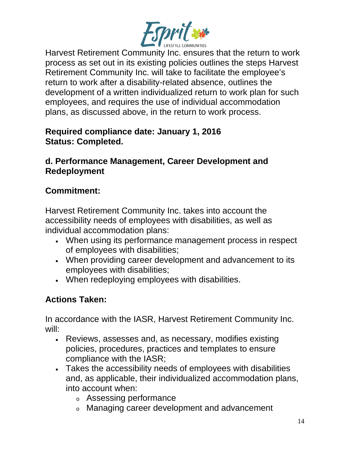

Harvest Retirement Community Inc. ensures that the return to work process as set out in its existing policies outlines the steps Harvest Retirement Community Inc. will take to facilitate the employee's return to work after a disability-related absence, outlines the development of a written individualized return to work plan for such employees, and requires the use of individual accommodation plans, as discussed above, in the return to work process.

#### **Required compliance date: January 1, 2016 Status: Completed.**

#### **d. Performance Management, Career Development and Redeployment**

# **Commitment:**

Harvest Retirement Community Inc. takes into account the accessibility needs of employees with disabilities, as well as individual accommodation plans:

- When using its performance management process in respect of employees with disabilities;
- When providing career development and advancement to its employees with disabilities;
- When redeploying employees with disabilities.

# **Actions Taken:**

In accordance with the IASR, Harvest Retirement Community Inc. will:

- Reviews, assesses and, as necessary, modifies existing policies, procedures, practices and templates to ensure compliance with the IASR;
- Takes the accessibility needs of employees with disabilities and, as applicable, their individualized accommodation plans, into account when:
	- <sup>o</sup> Assessing performance
	- <sup>o</sup> Managing career development and advancement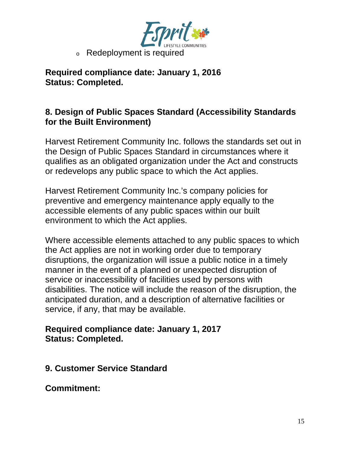

**Required compliance date: January 1, 2016 Status: Completed.**

### **8. Design of Public Spaces Standard (Accessibility Standards for the Built Environment)**

Harvest Retirement Community Inc. follows the standards set out in the Design of Public Spaces Standard in circumstances where it qualifies as an obligated organization under the Act and constructs or redevelops any public space to which the Act applies.

Harvest Retirement Community Inc.'s company policies for preventive and emergency maintenance apply equally to the accessible elements of any public spaces within our built environment to which the Act applies.

Where accessible elements attached to any public spaces to which the Act applies are not in working order due to temporary disruptions, the organization will issue a public notice in a timely manner in the event of a planned or unexpected disruption of service or inaccessibility of facilities used by persons with disabilities. The notice will include the reason of the disruption, the anticipated duration, and a description of alternative facilities or service, if any, that may be available.

#### **Required compliance date: January 1, 2017 Status: Completed.**

**9. Customer Service Standard** 

**Commitment:**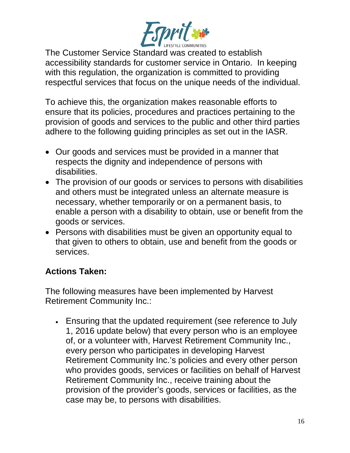

The Customer Service Standard was created to establish accessibility standards for customer service in Ontario. In keeping with this regulation, the organization is committed to providing respectful services that focus on the unique needs of the individual.

To achieve this, the organization makes reasonable efforts to ensure that its policies, procedures and practices pertaining to the provision of goods and services to the public and other third parties adhere to the following guiding principles as set out in the IASR.

- Our goods and services must be provided in a manner that respects the dignity and independence of persons with disabilities.
- The provision of our goods or services to persons with disabilities and others must be integrated unless an alternate measure is necessary, whether temporarily or on a permanent basis, to enable a person with a disability to obtain, use or benefit from the goods or services.
- Persons with disabilities must be given an opportunity equal to that given to others to obtain, use and benefit from the goods or services.

# **Actions Taken:**

The following measures have been implemented by Harvest Retirement Community Inc.:

• Ensuring that the updated requirement (see reference to July 1, 2016 update below) that every person who is an employee of, or a volunteer with, Harvest Retirement Community Inc., every person who participates in developing Harvest Retirement Community Inc.'s policies and every other person who provides goods, services or facilities on behalf of Harvest Retirement Community Inc., receive training about the provision of the provider's goods, services or facilities, as the case may be, to persons with disabilities.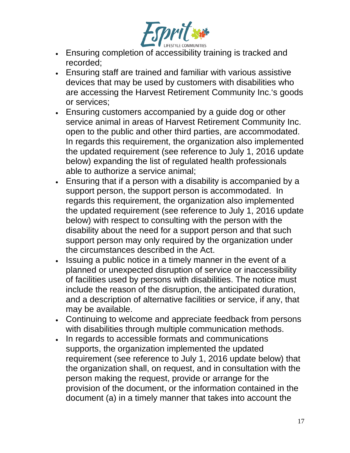

- Ensuring completion of accessibility training is tracked and recorded;
- Ensuring staff are trained and familiar with various assistive devices that may be used by customers with disabilities who are accessing the Harvest Retirement Community Inc.'s goods or services;
- Ensuring customers accompanied by a guide dog or other service animal in areas of Harvest Retirement Community Inc. open to the public and other third parties, are accommodated. In regards this requirement, the organization also implemented the updated requirement (see reference to July 1, 2016 update below) expanding the list of regulated health professionals able to authorize a service animal;
- Ensuring that if a person with a disability is accompanied by a support person, the support person is accommodated. In regards this requirement, the organization also implemented the updated requirement (see reference to July 1, 2016 update below) with respect to consulting with the person with the disability about the need for a support person and that such support person may only required by the organization under the circumstances described in the Act.
- Issuing a public notice in a timely manner in the event of a planned or unexpected disruption of service or inaccessibility of facilities used by persons with disabilities. The notice must include the reason of the disruption, the anticipated duration, and a description of alternative facilities or service, if any, that may be available.
- Continuing to welcome and appreciate feedback from persons with disabilities through multiple communication methods.
- In regards to accessible formats and communications supports, the organization implemented the updated requirement (see reference to July 1, 2016 update below) that the organization shall, on request, and in consultation with the person making the request, provide or arrange for the provision of the document, or the information contained in the document (a) in a timely manner that takes into account the